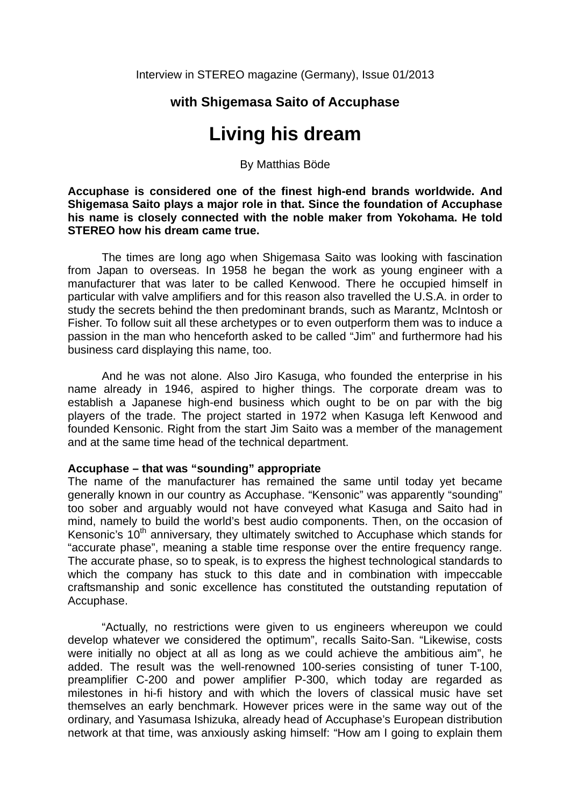## **with Shigemasa Saito of Accuphase**

# **Living his dream**

By Matthias Böde

**Accuphase is considered one of the finest high-end brands worldwide. And Shigemasa Saito plays a major role in that. Since the foundation of Accuphase his name is closely connected with the noble maker from Yokohama. He told STEREO how his dream came true.** 

The times are long ago when Shigemasa Saito was looking with fascination from Japan to overseas. In 1958 he began the work as young engineer with a manufacturer that was later to be called Kenwood. There he occupied himself in particular with valve amplifiers and for this reason also travelled the U.S.A. in order to study the secrets behind the then predominant brands, such as Marantz, McIntosh or Fisher. To follow suit all these archetypes or to even outperform them was to induce a passion in the man who henceforth asked to be called "Jim" and furthermore had his business card displaying this name, too.

And he was not alone. Also Jiro Kasuga, who founded the enterprise in his name already in 1946, aspired to higher things. The corporate dream was to establish a Japanese high-end business which ought to be on par with the big players of the trade. The project started in 1972 when Kasuga left Kenwood and founded Kensonic. Right from the start Jim Saito was a member of the management and at the same time head of the technical department.

### **Accuphase – that was "sounding" appropriate**

The name of the manufacturer has remained the same until today yet became generally known in our country as Accuphase. "Kensonic" was apparently "sounding" too sober and arguably would not have conveyed what Kasuga and Saito had in mind, namely to build the world's best audio components. Then, on the occasion of Kensonic's  $10<sup>th</sup>$  anniversary, they ultimately switched to Accuphase which stands for "accurate phase", meaning a stable time response over the entire frequency range. The accurate phase, so to speak, is to express the highest technological standards to which the company has stuck to this date and in combination with impeccable craftsmanship and sonic excellence has constituted the outstanding reputation of Accuphase.

"Actually, no restrictions were given to us engineers whereupon we could develop whatever we considered the optimum", recalls Saito-San. "Likewise, costs were initially no object at all as long as we could achieve the ambitious aim", he added. The result was the well-renowned 100-series consisting of tuner T-100, preamplifier C-200 and power amplifier P-300, which today are regarded as milestones in hi-fi history and with which the lovers of classical music have set themselves an early benchmark. However prices were in the same way out of the ordinary, and Yasumasa Ishizuka, already head of Accuphase's European distribution network at that time, was anxiously asking himself: "How am I going to explain them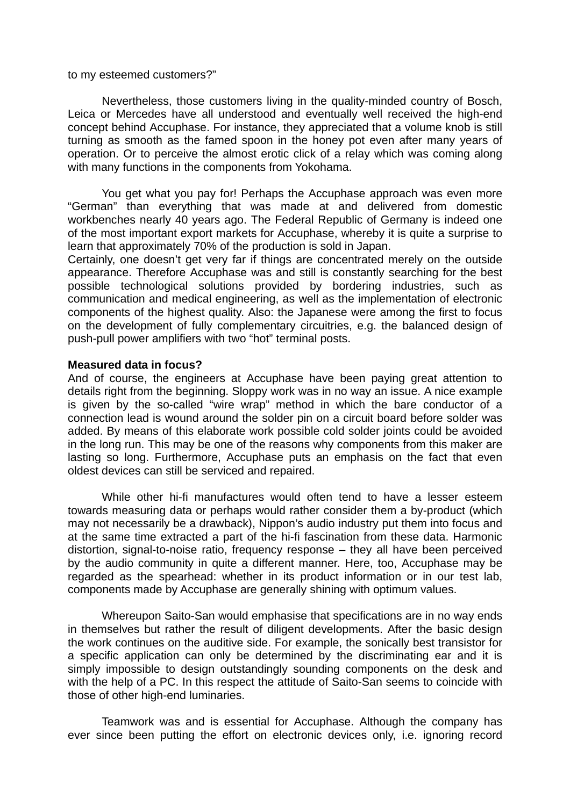to my esteemed customers?"

Nevertheless, those customers living in the quality-minded country of Bosch, Leica or Mercedes have all understood and eventually well received the high-end concept behind Accuphase. For instance, they appreciated that a volume knob is still turning as smooth as the famed spoon in the honey pot even after many years of operation. Or to perceive the almost erotic click of a relay which was coming along with many functions in the components from Yokohama.

You get what you pay for! Perhaps the Accuphase approach was even more "German" than everything that was made at and delivered from domestic workbenches nearly 40 years ago. The Federal Republic of Germany is indeed one of the most important export markets for Accuphase, whereby it is quite a surprise to learn that approximately 70% of the production is sold in Japan.

Certainly, one doesn't get very far if things are concentrated merely on the outside appearance. Therefore Accuphase was and still is constantly searching for the best possible technological solutions provided by bordering industries, such as communication and medical engineering, as well as the implementation of electronic components of the highest quality. Also: the Japanese were among the first to focus on the development of fully complementary circuitries, e.g. the balanced design of push-pull power amplifiers with two "hot" terminal posts.

### **Measured data in focus?**

And of course, the engineers at Accuphase have been paying great attention to details right from the beginning. Sloppy work was in no way an issue. A nice example is given by the so-called "wire wrap" method in which the bare conductor of a connection lead is wound around the solder pin on a circuit board before solder was added. By means of this elaborate work possible cold solder joints could be avoided in the long run. This may be one of the reasons why components from this maker are lasting so long. Furthermore, Accuphase puts an emphasis on the fact that even oldest devices can still be serviced and repaired.

While other hi-fi manufactures would often tend to have a lesser esteem towards measuring data or perhaps would rather consider them a by-product (which may not necessarily be a drawback), Nippon's audio industry put them into focus and at the same time extracted a part of the hi-fi fascination from these data. Harmonic distortion, signal-to-noise ratio, frequency response – they all have been perceived by the audio community in quite a different manner. Here, too, Accuphase may be regarded as the spearhead: whether in its product information or in our test lab, components made by Accuphase are generally shining with optimum values.

Whereupon Saito-San would emphasise that specifications are in no way ends in themselves but rather the result of diligent developments. After the basic design the work continues on the auditive side. For example, the sonically best transistor for a specific application can only be determined by the discriminating ear and it is simply impossible to design outstandingly sounding components on the desk and with the help of a PC. In this respect the attitude of Saito-San seems to coincide with those of other high-end luminaries.

Teamwork was and is essential for Accuphase. Although the company has ever since been putting the effort on electronic devices only, i.e. ignoring record